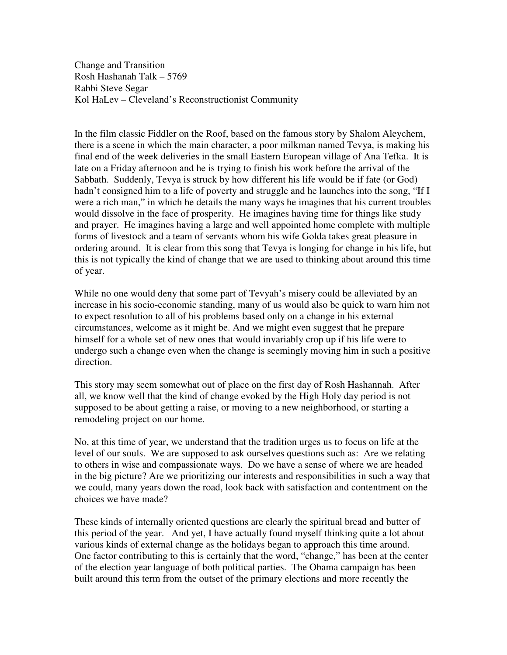Change and Transition Rosh Hashanah Talk – 5769 Rabbi Steve Segar Kol HaLev – Cleveland's Reconstructionist Community

In the film classic Fiddler on the Roof, based on the famous story by Shalom Aleychem, there is a scene in which the main character, a poor milkman named Tevya, is making his final end of the week deliveries in the small Eastern European village of Ana Tefka. It is late on a Friday afternoon and he is trying to finish his work before the arrival of the Sabbath. Suddenly, Tevya is struck by how different his life would be if fate (or God) hadn't consigned him to a life of poverty and struggle and he launches into the song, "If I were a rich man," in which he details the many ways he imagines that his current troubles would dissolve in the face of prosperity. He imagines having time for things like study and prayer. He imagines having a large and well appointed home complete with multiple forms of livestock and a team of servants whom his wife Golda takes great pleasure in ordering around. It is clear from this song that Tevya is longing for change in his life, but this is not typically the kind of change that we are used to thinking about around this time of year.

While no one would deny that some part of Tevyah's misery could be alleviated by an increase in his socio-economic standing, many of us would also be quick to warn him not to expect resolution to all of his problems based only on a change in his external circumstances, welcome as it might be. And we might even suggest that he prepare himself for a whole set of new ones that would invariably crop up if his life were to undergo such a change even when the change is seemingly moving him in such a positive direction.

This story may seem somewhat out of place on the first day of Rosh Hashannah. After all, we know well that the kind of change evoked by the High Holy day period is not supposed to be about getting a raise, or moving to a new neighborhood, or starting a remodeling project on our home.

No, at this time of year, we understand that the tradition urges us to focus on life at the level of our souls. We are supposed to ask ourselves questions such as: Are we relating to others in wise and compassionate ways. Do we have a sense of where we are headed in the big picture? Are we prioritizing our interests and responsibilities in such a way that we could, many years down the road, look back with satisfaction and contentment on the choices we have made?

These kinds of internally oriented questions are clearly the spiritual bread and butter of this period of the year. And yet, I have actually found myself thinking quite a lot about various kinds of external change as the holidays began to approach this time around. One factor contributing to this is certainly that the word, "change," has been at the center of the election year language of both political parties. The Obama campaign has been built around this term from the outset of the primary elections and more recently the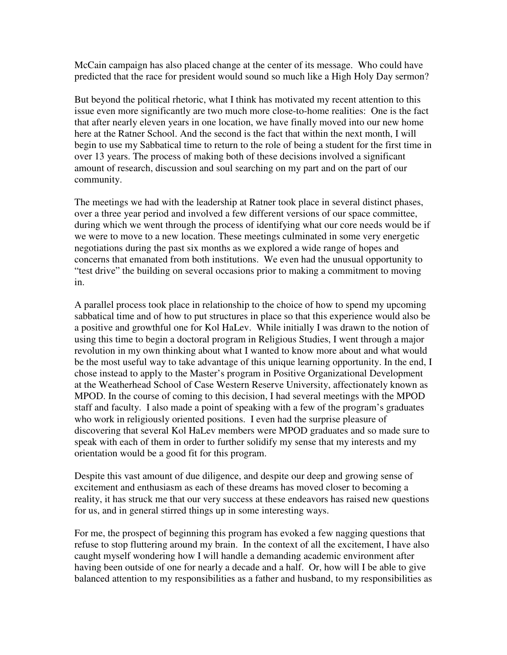McCain campaign has also placed change at the center of its message. Who could have predicted that the race for president would sound so much like a High Holy Day sermon?

But beyond the political rhetoric, what I think has motivated my recent attention to this issue even more significantly are two much more close-to-home realities: One is the fact that after nearly eleven years in one location, we have finally moved into our new home here at the Ratner School. And the second is the fact that within the next month, I will begin to use my Sabbatical time to return to the role of being a student for the first time in over 13 years. The process of making both of these decisions involved a significant amount of research, discussion and soul searching on my part and on the part of our community.

The meetings we had with the leadership at Ratner took place in several distinct phases, over a three year period and involved a few different versions of our space committee, during which we went through the process of identifying what our core needs would be if we were to move to a new location. These meetings culminated in some very energetic negotiations during the past six months as we explored a wide range of hopes and concerns that emanated from both institutions. We even had the unusual opportunity to "test drive" the building on several occasions prior to making a commitment to moving in.

A parallel process took place in relationship to the choice of how to spend my upcoming sabbatical time and of how to put structures in place so that this experience would also be a positive and growthful one for Kol HaLev. While initially I was drawn to the notion of using this time to begin a doctoral program in Religious Studies, I went through a major revolution in my own thinking about what I wanted to know more about and what would be the most useful way to take advantage of this unique learning opportunity. In the end, I chose instead to apply to the Master's program in Positive Organizational Development at the Weatherhead School of Case Western Reserve University, affectionately known as MPOD. In the course of coming to this decision, I had several meetings with the MPOD staff and faculty. I also made a point of speaking with a few of the program's graduates who work in religiously oriented positions. I even had the surprise pleasure of discovering that several Kol HaLev members were MPOD graduates and so made sure to speak with each of them in order to further solidify my sense that my interests and my orientation would be a good fit for this program.

Despite this vast amount of due diligence, and despite our deep and growing sense of excitement and enthusiasm as each of these dreams has moved closer to becoming a reality, it has struck me that our very success at these endeavors has raised new questions for us, and in general stirred things up in some interesting ways.

For me, the prospect of beginning this program has evoked a few nagging questions that refuse to stop fluttering around my brain. In the context of all the excitement, I have also caught myself wondering how I will handle a demanding academic environment after having been outside of one for nearly a decade and a half. Or, how will I be able to give balanced attention to my responsibilities as a father and husband, to my responsibilities as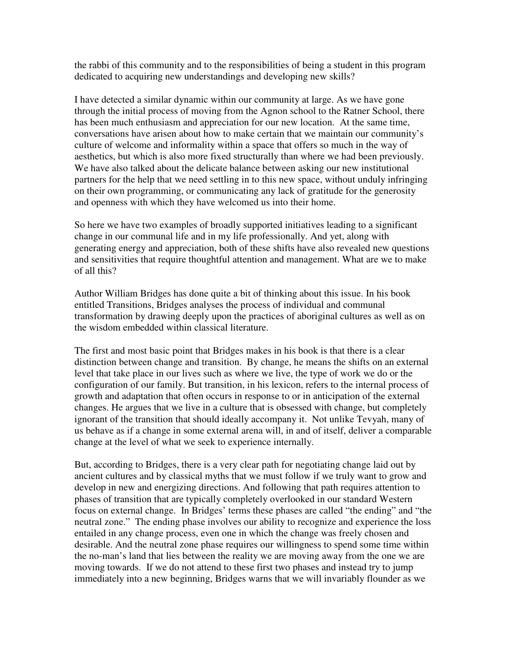the rabbi of this community and to the responsibilities of being a student in this program dedicated to acquiring new understandings and developing new skills?

I have detected a similar dynamic within our community at large. As we have gone through the initial process of moving from the Agnon school to the Ratner School, there has been much enthusiasm and appreciation for our new location. At the same time, conversations have arisen about how to make certain that we maintain our community's culture of welcome and informality within a space that offers so much in the way of aesthetics, but which is also more fixed structurally than where we had been previously. We have also talked about the delicate balance between asking our new institutional partners for the help that we need settling in to this new space, without unduly infringing on their own programming, or communicating any lack of gratitude for the generosity and openness with which they have welcomed us into their home.

So here we have two examples of broadly supported initiatives leading to a significant change in our communal life and in my life professionally. And yet, along with generating energy and appreciation, both of these shifts have also revealed new questions and sensitivities that require thoughtful attention and management. What are we to make of all this?

Author William Bridges has done quite a bit of thinking about this issue. In his book entitled Transitions, Bridges analyses the process of individual and communal transformation by drawing deeply upon the practices of aboriginal cultures as well as on the wisdom embedded within classical literature.

The first and most basic point that Bridges makes in his book is that there is a clear distinction between change and transition. By change, he means the shifts on an external level that take place in our lives such as where we live, the type of work we do or the configuration of our family. But transition, in his lexicon, refers to the internal process of growth and adaptation that often occurs in response to or in anticipation of the external changes. He argues that we live in a culture that is obsessed with change, but completely ignorant of the transition that should ideally accompany it. Not unlike Tevyah, many of us behave as if a change in some external arena will, in and of itself, deliver a comparable change at the level of what we seek to experience internally.

But, according to Bridges, there is a very clear path for negotiating change laid out by ancient cultures and by classical myths that we must follow if we truly want to grow and develop in new and energizing directions. And following that path requires attention to phases of transition that are typically completely overlooked in our standard Western focus on external change. In Bridges' terms these phases are called "the ending" and "the neutral zone." The ending phase involves our ability to recognize and experience the loss entailed in any change process, even one in which the change was freely chosen and desirable. And the neutral zone phase requires our willingness to spend some time within the no-man's land that lies between the reality we are moving away from the one we are moving towards. If we do not attend to these first two phases and instead try to jump immediately into a new beginning, Bridges warns that we will invariably flounder as we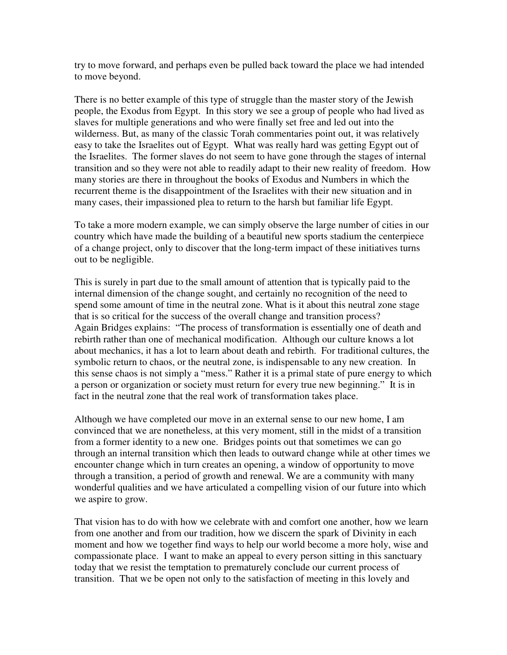try to move forward, and perhaps even be pulled back toward the place we had intended to move beyond.

There is no better example of this type of struggle than the master story of the Jewish people, the Exodus from Egypt. In this story we see a group of people who had lived as slaves for multiple generations and who were finally set free and led out into the wilderness. But, as many of the classic Torah commentaries point out, it was relatively easy to take the Israelites out of Egypt. What was really hard was getting Egypt out of the Israelites. The former slaves do not seem to have gone through the stages of internal transition and so they were not able to readily adapt to their new reality of freedom. How many stories are there in throughout the books of Exodus and Numbers in which the recurrent theme is the disappointment of the Israelites with their new situation and in many cases, their impassioned plea to return to the harsh but familiar life Egypt.

To take a more modern example, we can simply observe the large number of cities in our country which have made the building of a beautiful new sports stadium the centerpiece of a change project, only to discover that the long-term impact of these initiatives turns out to be negligible.

This is surely in part due to the small amount of attention that is typically paid to the internal dimension of the change sought, and certainly no recognition of the need to spend some amount of time in the neutral zone. What is it about this neutral zone stage that is so critical for the success of the overall change and transition process? Again Bridges explains: "The process of transformation is essentially one of death and rebirth rather than one of mechanical modification. Although our culture knows a lot about mechanics, it has a lot to learn about death and rebirth. For traditional cultures, the symbolic return to chaos, or the neutral zone, is indispensable to any new creation. In this sense chaos is not simply a "mess." Rather it is a primal state of pure energy to which a person or organization or society must return for every true new beginning." It is in fact in the neutral zone that the real work of transformation takes place.

Although we have completed our move in an external sense to our new home, I am convinced that we are nonetheless, at this very moment, still in the midst of a transition from a former identity to a new one. Bridges points out that sometimes we can go through an internal transition which then leads to outward change while at other times we encounter change which in turn creates an opening, a window of opportunity to move through a transition, a period of growth and renewal. We are a community with many wonderful qualities and we have articulated a compelling vision of our future into which we aspire to grow.

That vision has to do with how we celebrate with and comfort one another, how we learn from one another and from our tradition, how we discern the spark of Divinity in each moment and how we together find ways to help our world become a more holy, wise and compassionate place. I want to make an appeal to every person sitting in this sanctuary today that we resist the temptation to prematurely conclude our current process of transition. That we be open not only to the satisfaction of meeting in this lovely and